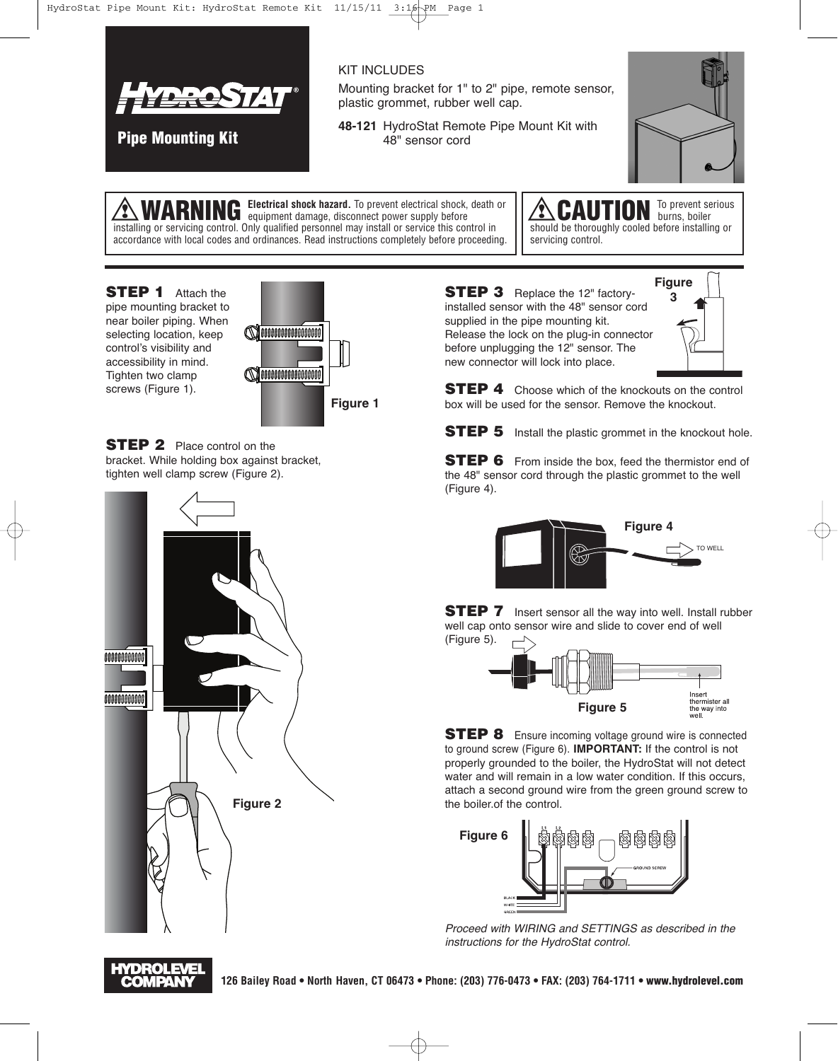

**Pipe Mounting Kit**

KIT INCLUDES

Mounting bracket for 1" to 2" pipe, remote sensor, plastic grommet, rubber well cap.

**48-121** HydroStat Remote Pipe Mount Kit with 48" sensor cord



WARNING Electrical shock hazard. To prevent electrical shock, death or installing or servicing control. Only qualified personnel may install or service this control in accordance with local codes and ordinances. Read instructions completely before proceeding.

CAUTION To prevent serious should be thoroughly cooled before installing or servicing control.

**STEP 1** Attach the pipe mounting bracket to near boiler piping. When selecting location, keep control's visibility and accessibility in mind. Tighten two clamp screws (Figure 1).



**STEP 2** Place control on the bracket. While holding box against bracket, tighten well clamp screw (Figure 2).



**STEP 3** Replace the 12" factoryinstalled sensor with the 48" sensor cord supplied in the pipe mounting kit. Release the lock on the plug-in connector before unplugging the 12" sensor. The new connector will lock into place.



**STEP 4** Choose which of the knockouts on the control box will be used for the sensor. Remove the knockout.

**STEP 5** Install the plastic grommet in the knockout hole.

**STEP 6** From inside the box, feed the thermistor end of the 48" sensor cord through the plastic grommet to the well (Figure 4).



**STEP 7** Insert sensor all the way into well. Install rubber well cap onto sensor wire and slide to cover end of well (Figure 5).



**STEP 8** Ensure incoming voltage ground wire is connected to ground screw (Figure 6). **IMPORTANT:** If the control is not properly grounded to the boiler, the HydroStat will not detect water and will remain in a low water condition. If this occurs, attach a second ground wire from the green ground screw to the boiler.of the control.



Proceed with WIRING and SETTINGS as described in the instructions for the HydroStat control.